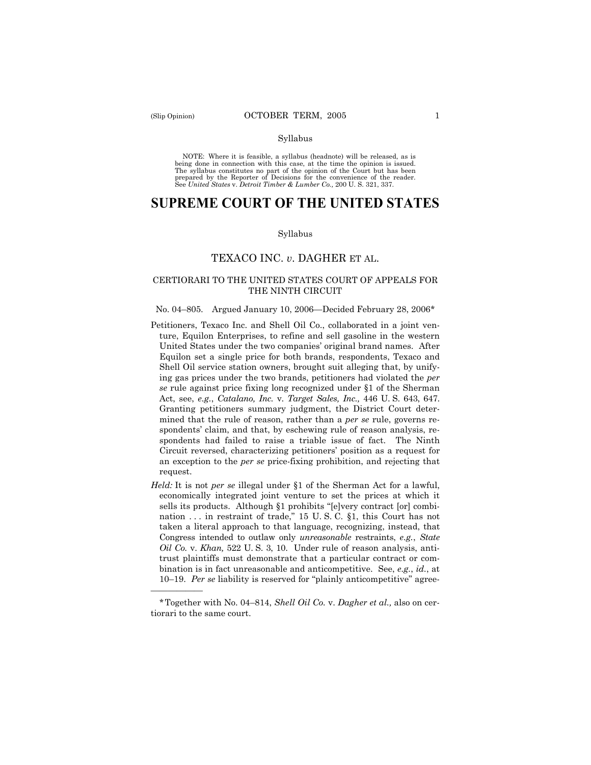——————

### Syllabus

NOTE: Where it is feasible, a syllabus (headnote) will be released, as is being done in connection with this case, at the time the opinion is issued. The syllabus constitutes no part of the opinion of the Court but has been<br>prepared by the Reporter of Decisions for the convenience of the reader.<br>See United States v. Detroit Timber & Lumber Co., 200 U. S. 321, 337.

# **SUPREME COURT OF THE UNITED STATES**

#### Syllabus

# TEXACO INC. *v*. DAGHER ET AL.

# CERTIORARI TO THE UNITED STATES COURT OF APPEALS FOR THE NINTH CIRCUIT

### No. 04–805. Argued January 10, 2006—Decided February 28, 2006\*

- Petitioners, Texaco Inc. and Shell Oil Co., collaborated in a joint venture, Equilon Enterprises, to refine and sell gasoline in the western United States under the two companies' original brand names. After Equilon set a single price for both brands, respondents, Texaco and Shell Oil service station owners, brought suit alleging that, by unifying gas prices under the two brands, petitioners had violated the *per se* rule against price fixing long recognized under §1 of the Sherman Act, see, *e.g.*, *Catalano, Inc.* v. *Target Sales, Inc.,* 446 U. S. 643, 647. Granting petitioners summary judgment, the District Court determined that the rule of reason, rather than a *per se* rule, governs respondents' claim, and that, by eschewing rule of reason analysis, respondents had failed to raise a triable issue of fact. The Ninth Circuit reversed, characterizing petitioners' position as a request for an exception to the *per se* price-fixing prohibition, and rejecting that request.
- *Held:* It is not *per se* illegal under §1 of the Sherman Act for a lawful, economically integrated joint venture to set the prices at which it sells its products. Although §1 prohibits "[e]very contract [or] combination . . . in restraint of trade," 15 U. S. C. §1, this Court has not taken a literal approach to that language, recognizing, instead, that Congress intended to outlaw only *unreasonable* restraints, *e.g.*, *State Oil Co.* v. *Khan,* 522 U. S. 3, 10. Under rule of reason analysis, antitrust plaintiffs must demonstrate that a particular contract or combination is in fact unreasonable and anticompetitive. See, *e.g.*, *id.*, at 10–19. *Per se* liability is reserved for "plainly anticompetitive" agree-

<sup>\*</sup> Together with No. 04–814, *Shell Oil Co.* v. *Dagher et al.,* also on certiorari to the same court.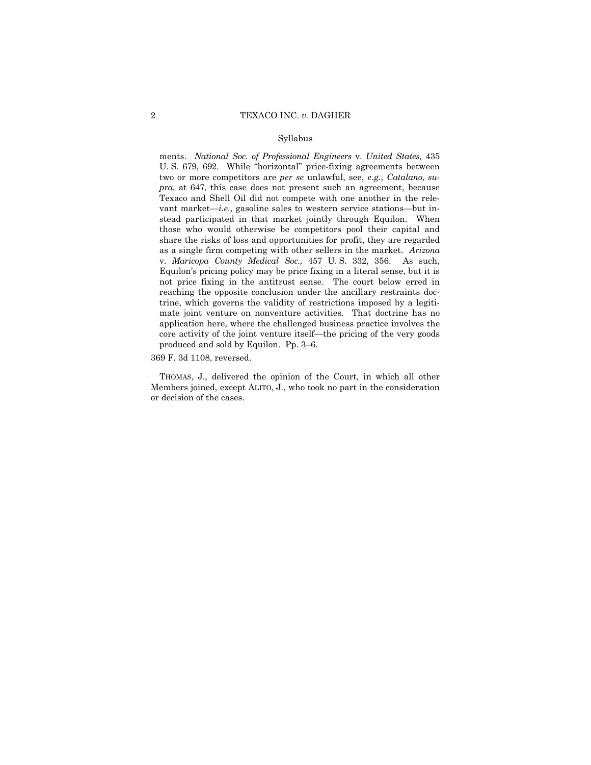### Syllabus

ments. *National Soc. of Professional Engineers* v. *United States,* 435 U. S. 679, 692. While "horizontal" price-fixing agreements between two or more competitors are *per se* unlawful, see, *e.g.*, *Catalano, supra,* at 647, this case does not present such an agreement, because Texaco and Shell Oil did not compete with one another in the relevant market—*i.e.,* gasoline sales to western service stations—but instead participated in that market jointly through Equilon. When those who would otherwise be competitors pool their capital and share the risks of loss and opportunities for profit, they are regarded as a single firm competing with other sellers in the market. *Arizona*  v. *Maricopa County Medical Soc.,* 457 U. S. 332, 356. As such, Equilon's pricing policy may be price fixing in a literal sense, but it is not price fixing in the antitrust sense. The court below erred in reaching the opposite conclusion under the ancillary restraints doctrine, which governs the validity of restrictions imposed by a legitimate joint venture on nonventure activities. That doctrine has no application here, where the challenged business practice involves the core activity of the joint venture itself—the pricing of the very goods produced and sold by Equilon. Pp. 3–6.

369 F. 3d 1108, reversed.

THOMAS, J., delivered the opinion of the Court, in which all other Members joined, except ALITO, J., who took no part in the consideration or decision of the cases.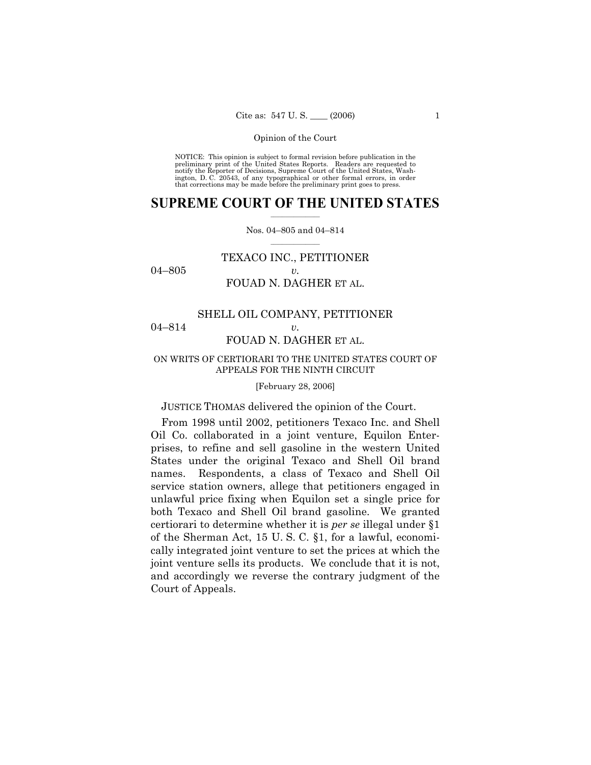NOTICE: This opinion is subject to formal revision before publication in the preliminary print of the United States Reports. Readers are requested to notify the Reporter of Decisions, Supreme Court of the United States, Washington, D. C. 20543, of any typographical or other formal errors, in order that corrections may be made before the preliminary print goes to press.

# $\frac{1}{2}$  ,  $\frac{1}{2}$  ,  $\frac{1}{2}$  ,  $\frac{1}{2}$  ,  $\frac{1}{2}$  ,  $\frac{1}{2}$  ,  $\frac{1}{2}$ **SUPREME COURT OF THE UNITED STATES**

# $\mathcal{L}=\mathcal{L}$ Nos. 04–805 and 04–814

# TEXACO INC., PETITIONER 04–805 *v.*  FOUAD N. DAGHER ET AL.

# SHELL OIL COMPANY, PETITIONER 04–814 *v.*

# FOUAD N. DAGHER ET AL.

# ON WRITS OF CERTIORARI TO THE UNITED STATES COURT OF APPEALS FOR THE NINTH CIRCUIT

# [February 28, 2006]

JUSTICE THOMAS delivered the opinion of the Court.

From 1998 until 2002, petitioners Texaco Inc. and Shell Oil Co. collaborated in a joint venture, Equilon Enterprises, to refine and sell gasoline in the western United States under the original Texaco and Shell Oil brand names. Respondents, a class of Texaco and Shell Oil service station owners, allege that petitioners engaged in unlawful price fixing when Equilon set a single price for both Texaco and Shell Oil brand gasoline. We granted certiorari to determine whether it is *per se* illegal under §1 of the Sherman Act, 15 U. S. C. §1, for a lawful, economically integrated joint venture to set the prices at which the joint venture sells its products. We conclude that it is not, and accordingly we reverse the contrary judgment of the Court of Appeals.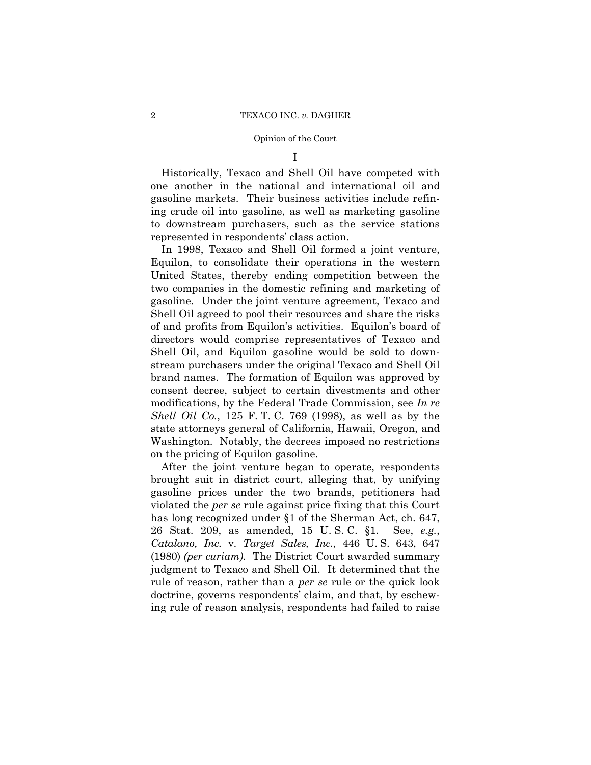I

Historically, Texaco and Shell Oil have competed with one another in the national and international oil and gasoline markets. Their business activities include refining crude oil into gasoline, as well as marketing gasoline to downstream purchasers, such as the service stations represented in respondents' class action.

In 1998, Texaco and Shell Oil formed a joint venture, Equilon, to consolidate their operations in the western United States, thereby ending competition between the two companies in the domestic refining and marketing of gasoline. Under the joint venture agreement, Texaco and Shell Oil agreed to pool their resources and share the risks of and profits from Equilon's activities. Equilon's board of directors would comprise representatives of Texaco and Shell Oil, and Equilon gasoline would be sold to downstream purchasers under the original Texaco and Shell Oil brand names. The formation of Equilon was approved by consent decree, subject to certain divestments and other modifications, by the Federal Trade Commission, see *In re Shell Oil Co.*, 125 F. T. C. 769 (1998), as well as by the state attorneys general of California, Hawaii, Oregon, and Washington. Notably, the decrees imposed no restrictions on the pricing of Equilon gasoline.

After the joint venture began to operate, respondents brought suit in district court, alleging that, by unifying gasoline prices under the two brands, petitioners had violated the *per se* rule against price fixing that this Court has long recognized under §1 of the Sherman Act, ch. 647, 26 Stat. 209, as amended, 15 U. S. C. §1. See, *e.g.*, *Catalano, Inc.* v. *Target Sales, Inc.,* 446 U. S. 643, 647 (1980) *(per curiam)*. The District Court awarded summary judgment to Texaco and Shell Oil. It determined that the rule of reason, rather than a *per se* rule or the quick look doctrine, governs respondents' claim, and that, by eschewing rule of reason analysis, respondents had failed to raise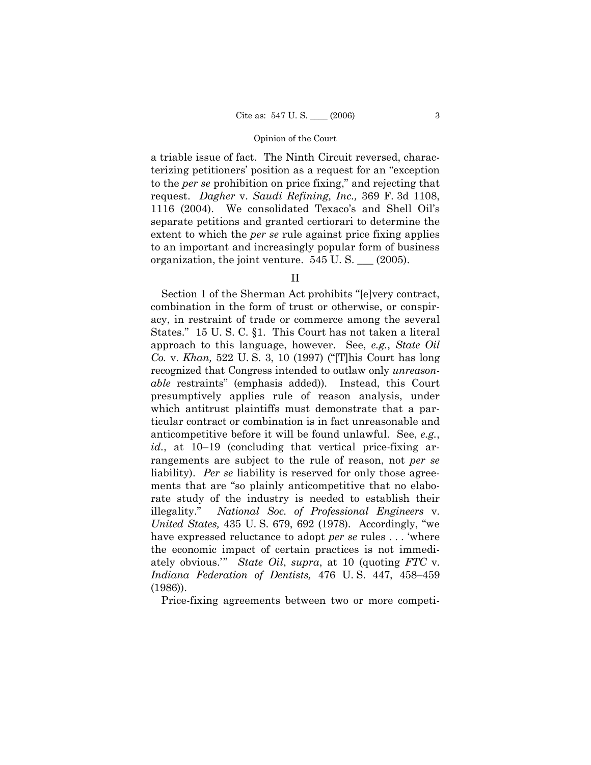a triable issue of fact. The Ninth Circuit reversed, characterizing petitioners' position as a request for an "exception to the *per se* prohibition on price fixing," and rejecting that request. *Dagher* v. *Saudi Refining, Inc.,* 369 F. 3d 1108, 1116 (2004). We consolidated Texaco's and Shell Oil's separate petitions and granted certiorari to determine the extent to which the *per se* rule against price fixing applies to an important and increasingly popular form of business organization, the joint venture. 545 U. S. \_\_\_ (2005).

II

Section 1 of the Sherman Act prohibits "[e]very contract, combination in the form of trust or otherwise, or conspiracy, in restraint of trade or commerce among the several States." 15 U. S. C. §1. This Court has not taken a literal approach to this language, however. See, *e.g.*, *State Oil Co.* v. *Khan,* 522 U. S. 3, 10 (1997) ("[T]his Court has long recognized that Congress intended to outlaw only *unreasonable* restraints" (emphasis added)). Instead, this Court presumptively applies rule of reason analysis, under which antitrust plaintiffs must demonstrate that a particular contract or combination is in fact unreasonable and anticompetitive before it will be found unlawful. See, *e.g.*, *id.*, at 10–19 (concluding that vertical price-fixing arrangements are subject to the rule of reason, not *per se* liability). *Per se* liability is reserved for only those agreements that are "so plainly anticompetitive that no elaborate study of the industry is needed to establish their illegality." *National Soc. of Professional Engineers* v. *United States,* 435 U. S. 679, 692 (1978). Accordingly, "we have expressed reluctance to adopt *per se* rules . . . 'where the economic impact of certain practices is not immediately obvious." *State Oil, supra,* at 10 (quoting *FTC* v. *Indiana Federation of Dentists,* 476 U. S. 447, 458–459 (1986)).

Price-fixing agreements between two or more competi-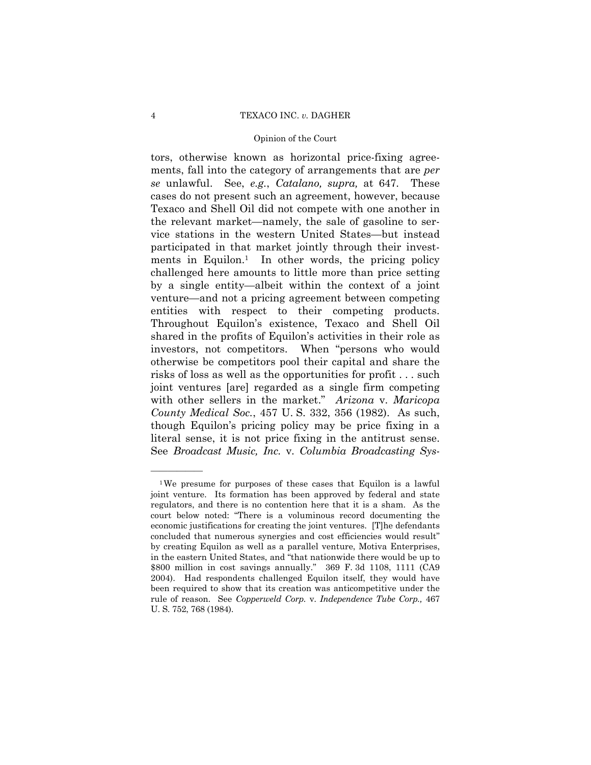# 4 TEXACO INC. *v.* DAGHER

# Opinion of the Court

tors, otherwise known as horizontal price-fixing agreements, fall into the category of arrangements that are *per se* unlawful. See, *e.g.*, *Catalano, supra,* at 647. These cases do not present such an agreement, however, because Texaco and Shell Oil did not compete with one another in the relevant market—namely, the sale of gasoline to service stations in the western United States—but instead participated in that market jointly through their investments in Equilon.<sup>1</sup> In other words, the pricing policy challenged here amounts to little more than price setting by a single entity—albeit within the context of a joint venture—and not a pricing agreement between competing entities with respect to their competing products. Throughout Equilon's existence, Texaco and Shell Oil shared in the profits of Equilon's activities in their role as investors, not competitors. When "persons who would otherwise be competitors pool their capital and share the risks of loss as well as the opportunities for profit . . . such joint ventures [are] regarded as a single firm competing with other sellers in the market." *Arizona* v. *Maricopa County Medical Soc.*, 457 U. S. 332, 356 (1982). As such, though Equilon's pricing policy may be price fixing in a literal sense, it is not price fixing in the antitrust sense. See *Broadcast Music, Inc.* v. *Columbia Broadcasting Sys-*

——————

<sup>1</sup>We presume for purposes of these cases that Equilon is a lawful joint venture. Its formation has been approved by federal and state regulators, and there is no contention here that it is a sham. As the court below noted: "There is a voluminous record documenting the economic justifications for creating the joint ventures. [T]he defendants concluded that numerous synergies and cost efficiencies would result" by creating Equilon as well as a parallel venture, Motiva Enterprises, in the eastern United States, and "that nationwide there would be up to \$800 million in cost savings annually." 369 F. 3d 1108, 1111 (CA9 2004). Had respondents challenged Equilon itself, they would have been required to show that its creation was anticompetitive under the rule of reason. See *Copperweld Corp.* v. *Independence Tube Corp.,* 467 U. S. 752, 768 (1984).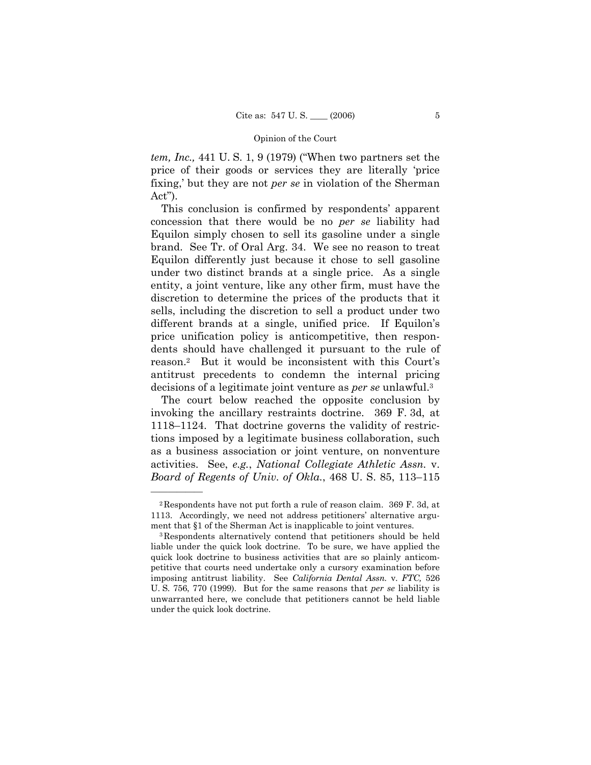*tem, Inc.,* 441 U. S. 1, 9 (1979) ("When two partners set the price of their goods or services they are literally 'price fixing,' but they are not *per se* in violation of the Sherman Act").

This conclusion is confirmed by respondents' apparent concession that there would be no *per se* liability had Equilon simply chosen to sell its gasoline under a single brand. See Tr. of Oral Arg. 34. We see no reason to treat Equilon differently just because it chose to sell gasoline under two distinct brands at a single price. As a single entity, a joint venture, like any other firm, must have the discretion to determine the prices of the products that it sells, including the discretion to sell a product under two different brands at a single, unified price. If Equilon's price unification policy is anticompetitive, then respondents should have challenged it pursuant to the rule of reason.2 But it would be inconsistent with this Court's antitrust precedents to condemn the internal pricing decisions of a legitimate joint venture as *per se* unlawful.3

The court below reached the opposite conclusion by invoking the ancillary restraints doctrine. 369 F. 3d, at 1118–1124. That doctrine governs the validity of restrictions imposed by a legitimate business collaboration, such as a business association or joint venture, on nonventure activities. See, *e.g.*, *National Collegiate Athletic Assn.* v. *Board of Regents of Univ. of Okla.*, 468 U. S. 85, 113–115

——————

<sup>2</sup>Respondents have not put forth a rule of reason claim. 369 F. 3d, at 1113. Accordingly, we need not address petitioners' alternative argument that §1 of the Sherman Act is inapplicable to joint ventures.<br><sup>3</sup>Respondents alternatively contend that petitioners should be held

liable under the quick look doctrine. To be sure, we have applied the quick look doctrine to business activities that are so plainly anticompetitive that courts need undertake only a cursory examination before imposing antitrust liability. See *California Dental Assn.* v. *FTC,* 526 U. S. 756, 770 (1999). But for the same reasons that *per se* liability is unwarranted here, we conclude that petitioners cannot be held liable under the quick look doctrine.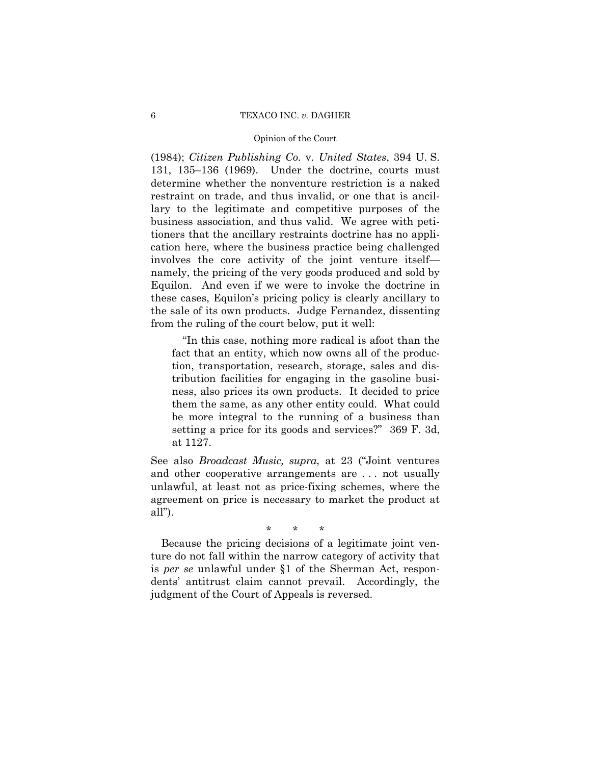# 6 TEXACO INC. *v.* DAGHER

# Opinion of the Court

(1984); *Citizen Publishing Co.* v. *United States*, 394 U. S. 131, 135–136 (1969). Under the doctrine, courts must determine whether the nonventure restriction is a naked restraint on trade, and thus invalid, or one that is ancillary to the legitimate and competitive purposes of the business association, and thus valid. We agree with petitioners that the ancillary restraints doctrine has no application here, where the business practice being challenged involves the core activity of the joint venture itself namely, the pricing of the very goods produced and sold by Equilon. And even if we were to invoke the doctrine in these cases, Equilon's pricing policy is clearly ancillary to the sale of its own products. Judge Fernandez, dissenting from the ruling of the court below, put it well:

"In this case, nothing more radical is afoot than the fact that an entity, which now owns all of the production, transportation, research, storage, sales and distribution facilities for engaging in the gasoline business, also prices its own products. It decided to price them the same, as any other entity could. What could be more integral to the running of a business than setting a price for its goods and services?" 369 F. 3d, at 1127.

See also *Broadcast Music, supra*, at 23 ("Joint ventures and other cooperative arrangements are . . . not usually unlawful, at least not as price-fixing schemes, where the agreement on price is necessary to market the product at all").

\* \* \*

Because the pricing decisions of a legitimate joint venture do not fall within the narrow category of activity that is *per se* unlawful under §1 of the Sherman Act, respondents' antitrust claim cannot prevail. Accordingly, the judgment of the Court of Appeals is reversed.